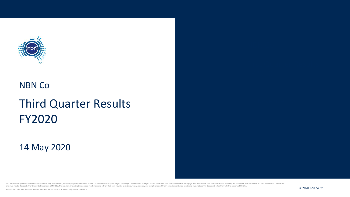

# NBN Co

# Third Quarter Results FY2020

### 14 May 2020

This document is provided for information purposes only. The contents, including any views expressed by NBN Co are indicative only and subject to change. This document is subject to the information classification set out o and must not be disclosed other than with the consent of NBN Co. The recipient (including third parties) must make and rely on their own inquiries as to the currency, accuracy and completeness of the information contained www.twitter.com/web/sections/web/sections/web/sections/web/sections/web/sections/web/sections/web/sections/web/sections/web/sections/web/sections/web/sections/web/sections/web/sections/web/sections/web/sections/web/section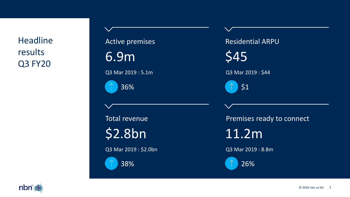**Headline** results Q3 FY20



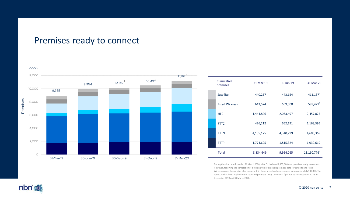# Premises ready to connect



| Cumulative<br>premises | 31 Mar 19 | 30 Jun 19 | 31 Mar 20               |
|------------------------|-----------|-----------|-------------------------|
| Satellite              | 440,257   | 443,154   | 411,137 <sup>1</sup>    |
| <b>Fixed Wireless</b>  | 643,574   | 659,300   | 589.429 <sup>1</sup>    |
| HFC.                   | 1,444,826 | 2,033,497 | 2,457,827               |
| <b>FTTC</b>            | 426,212   | 662,191   | 1,168,395               |
| <b>FTTN</b>            | 4,105,175 | 4,340,799 | 4,603,369               |
| <b>FTTP</b>            | 1,774,605 | 1,815,324 | 1,930,619               |
| <b>Total</b>           | 8,834,649 | 9,954,265 | 11,160,776 <sup>1</sup> |

1 During the nine months ended 31 March 2020, NBN Co declared 1,337,000 new premises ready to connect. However, following the completion of a full analysis of available premises data for Satellite and Fixed Wireless areas, the number of premises within these areas has been reduced by approximately 130,000. This reduction has been applied to the reported premises ready to connect figure as at 30 September 2019, 31 December 2019 and 31 March 2020.

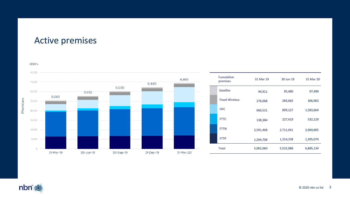### Active premises



nbn<sup>\*</sup>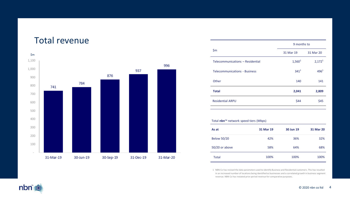### Total revenue



|                                      | 9 months to        |                    |  |
|--------------------------------------|--------------------|--------------------|--|
| \$m                                  | 31 Mar 19          | 31 Mar 20          |  |
| Telecommunications - Residential     | 1,560 <sup>1</sup> | 2,172 <sup>1</sup> |  |
| <b>Telecommunications - Business</b> | $341^{1}$          | $496^{1}$          |  |
| Other                                | 140                | 141                |  |
| <b>Total</b>                         | 2,041              | 2,809              |  |
| <b>Residential ARPU</b>              | \$44               | \$45               |  |

#### Total **nbn**™ network speed tiers (Mbps)

| As at              | 31 Mar 19 | 30 Jun 19 | 31 Mar 20 |
|--------------------|-----------|-----------|-----------|
| <b>Below 50/20</b> | 42%       | 36%       | 32%       |
| 50/20 or above     | 58%       | 64%       | 68%       |
| Total              | 100%      | 100%      | 100%      |

1 NBN Co has revised the data parameters used to identify Business and Residential customers. This has resulted in an increased number of locations being identified as businesses and a correlated growth in business segment revenue. NBN Co has restated prior period revenue for comparative purposes..

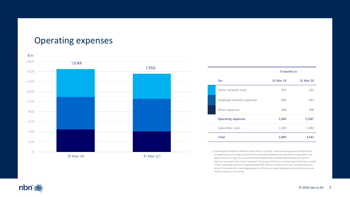### Operating expenses



|                            | 9 months to |                    |
|----------------------------|-------------|--------------------|
| \$m                        | 31 Mar 19   | 31 Mar 20          |
| Direct network costs       | 555         | 501                |
| Employee benefits expenses | 646         | 647                |
| Other expenses             | 448         | 408                |
| <b>Operating expenses</b>  | 1,649       | 1,556 <sup>1</sup> |
| Subscriber costs           | 1,200       | 1,985              |
| Total                      | 2,849       | 3,541              |

1 Following the adoption of AASB 16 *Leases* from 1 July 2019, certain operating lease and right-of-use arrangements are no longer accounted for as operating expenses but instead are recognised on the balance sheet as a right-of-use asset and lease liability with associated depreciation and interest expenses recorded in the income statement. The impact of these accounting requirements has resulted in lower operating expenses of approximately \$140 million in comparison to the corresponding prior period. This reduction in operating expenses is offset by increased depreciation and amortisation and interest expense in the period.

nbn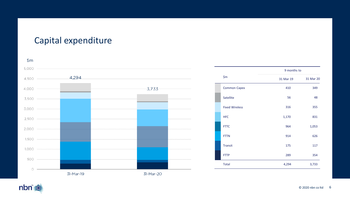# Capital expenditure



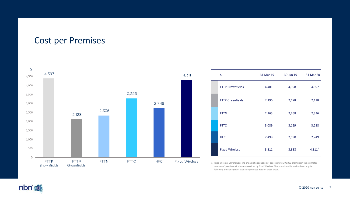### Cost per Premises



1 Fixed Wireless CPP includes the impact of a reduction of approximately 90,000 premises in the estimated number of premises within areas serviced by Fixed Wireless. This premises dilution has been applied following a full analysis of available premises data for these areas.

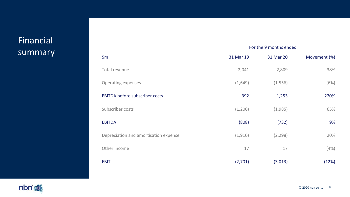# Financial summary

|                                       | For the 9 months ended |           |              |
|---------------------------------------|------------------------|-----------|--------------|
| \$m\$                                 | 31 Mar 19              | 31 Mar 20 | Movement (%) |
| Total revenue                         | 2,041                  | 2,809     | 38%          |
| Operating expenses                    | (1,649)                | (1,556)   | (6%)         |
| <b>EBITDA before subscriber costs</b> | 392                    | 1,253     | 220%         |
| Subscriber costs                      | (1,200)                | (1,985)   | 65%          |
| <b>EBITDA</b>                         | (808)                  | (732)     | 9%           |
| Depreciation and amortisation expense | (1, 910)               | (2, 298)  | 20%          |
| Other income                          | 17                     | 17        | (4% )        |
| <b>EBIT</b>                           | (2,701)                | (3,013)   | (12%)        |

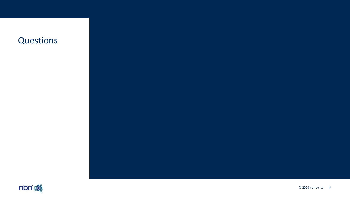# **Questions**